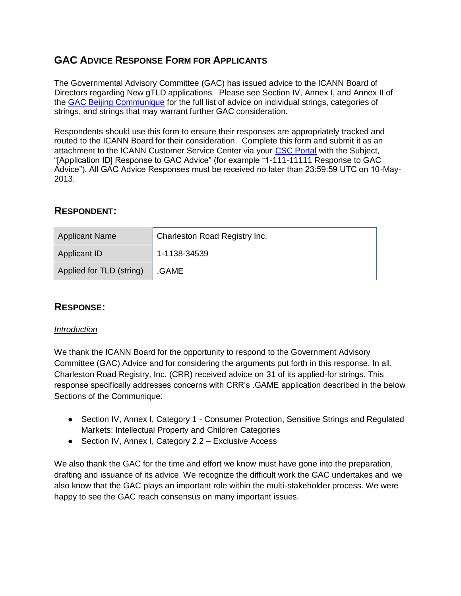# **GAC ADVICE RESPONSE FORM FOR APPLICANTS**

The Governmental Advisory Committee (GAC) has issued advice to the ICANN Board of Directors regarding New gTLD applications. Please see Section IV, Annex I, and Annex II of the [GAC Beijing Communique](http://www.icann.org/en/news/correspondence/gac-to-board-18apr13-en.pdf) for the full list of advice on individual strings, categories of strings, and strings that may warrant further GAC consideration.

Respondents should use this form to ensure their responses are appropriately tracked and routed to the ICANN Board for their consideration. Complete this form and submit it as an attachment to the ICANN Customer Service Center via your [CSC Portal](https://myicann.secure.force.com/) with the Subject, "[Application ID] Response to GAC Advice" (for example "1-111-11111 Response to GAC Advice"). All GAC Advice Responses must be received no later than 23:59:59 UTC on 10-May-2013.

## **RESPONDENT:**

| <b>Applicant Name</b>    | Charleston Road Registry Inc. |
|--------------------------|-------------------------------|
| Applicant ID             | 1-1138-34539                  |
| Applied for TLD (string) | .GAME                         |

## **RESPONSE:**

## *Introduction*

We thank the ICANN Board for the opportunity to respond to the Government Advisory Committee (GAC) Advice and for considering the arguments put forth in this response. In all, Charleston Road Registry, Inc. (CRR) received advice on 31 of its applied-for strings. This response specifically addresses concerns with CRR's .GAME application described in the below Sections of the Communique:

- Section IV, Annex I, Category 1 Consumer Protection, Sensitive Strings and Regulated Markets: Intellectual Property and Children Categories
- Section IV, Annex I, Category 2.2 Exclusive Access

We also thank the GAC for the time and effort we know must have gone into the preparation, drafting and issuance of its advice. We recognize the difficult work the GAC undertakes and we also know that the GAC plays an important role within the multi-stakeholder process. We were happy to see the GAC reach consensus on many important issues.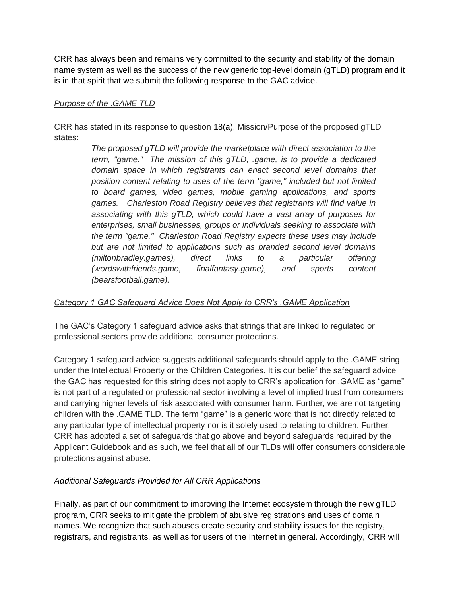CRR has always been and remains very committed to the security and stability of the domain name system as well as the success of the new generic top-level domain (gTLD) program and it is in that spirit that we submit the following response to the GAC advice.

#### *Purpose of the .GAME TLD*

CRR has stated in its response to question 18(a), Mission/Purpose of the proposed gTLD states:

> *The proposed gTLD will provide the marketplace with direct association to the term, "game." The mission of this gTLD, .game, is to provide a dedicated domain space in which registrants can enact second level domains that position content relating to uses of the term "game," included but not limited to board games, video games, mobile gaming applications, and sports games. Charleston Road Registry believes that registrants will find value in associating with this gTLD, which could have a vast array of purposes for enterprises, small businesses, groups or individuals seeking to associate with the term "game." Charleston Road Registry expects these uses may include but are not limited to applications such as branded second level domains (miltonbradley.games), direct links to a particular offering (wordswithfriends.game, finalfantasy.game), and sports content (bearsfootball.game).*

## *Category 1 GAC Safeguard Advice Does Not Apply to CRR's .GAME Application*

The GAC's Category 1 safeguard advice asks that strings that are linked to regulated or professional sectors provide additional consumer protections.

Category 1 safeguard advice suggests additional safeguards should apply to the .GAME string under the Intellectual Property or the Children Categories. It is our belief the safeguard advice the GAC has requested for this string does not apply to CRR's application for .GAME as "game" is not part of a regulated or professional sector involving a level of implied trust from consumers and carrying higher levels of risk associated with consumer harm. Further, we are not targeting children with the .GAME TLD. The term "game" is a generic word that is not directly related to any particular type of intellectual property nor is it solely used to relating to children. Further, CRR has adopted a set of safeguards that go above and beyond safeguards required by the Applicant Guidebook and as such, we feel that all of our TLDs will offer consumers considerable protections against abuse.

## *Additional Safeguards Provided for All CRR Applications*

Finally, as part of our commitment to improving the Internet ecosystem through the new gTLD program, CRR seeks to mitigate the problem of abusive registrations and uses of domain names. We recognize that such abuses create security and stability issues for the registry, registrars, and registrants, as well as for users of the Internet in general. Accordingly, CRR will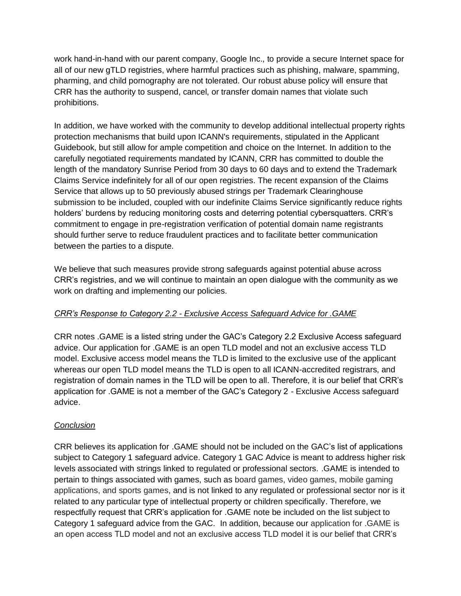work hand-in-hand with our parent company, Google Inc., to provide a secure Internet space for all of our new gTLD registries, where harmful practices such as phishing, malware, spamming, pharming, and child pornography are not tolerated. Our robust abuse policy will ensure that CRR has the authority to suspend, cancel, or transfer domain names that violate such prohibitions.

In addition, we have worked with the community to develop additional intellectual property rights protection mechanisms that build upon ICANN's requirements, stipulated in the Applicant Guidebook, but still allow for ample competition and choice on the Internet. In addition to the carefully negotiated requirements mandated by ICANN, CRR has committed to double the length of the mandatory Sunrise Period from 30 days to 60 days and to extend the Trademark Claims Service indefinitely for all of our open registries. The recent expansion of the Claims Service that allows up to 50 previously abused strings per Trademark Clearinghouse submission to be included, coupled with our indefinite Claims Service significantly reduce rights holders' burdens by reducing monitoring costs and deterring potential cybersquatters. CRR's commitment to engage in pre-registration verification of potential domain name registrants should further serve to reduce fraudulent practices and to facilitate better communication between the parties to a dispute.

We believe that such measures provide strong safeguards against potential abuse across CRR's registries, and we will continue to maintain an open dialogue with the community as we work on drafting and implementing our policies.

## *CRR's Response to Category 2.2 - Exclusive Access Safeguard Advice for .GAME*

CRR notes .GAME is a listed string under the GAC's Category 2.2 Exclusive Access safeguard advice. Our application for .GAME is an open TLD model and not an exclusive access TLD model. Exclusive access model means the TLD is limited to the exclusive use of the applicant whereas our open TLD model means the TLD is open to all ICANN-accredited registrars, and registration of domain names in the TLD will be open to all. Therefore, it is our belief that CRR's application for .GAME is not a member of the GAC's Category 2 - Exclusive Access safeguard advice.

## *Conclusion*

CRR believes its application for .GAME should not be included on the GAC's list of applications subject to Category 1 safeguard advice. Category 1 GAC Advice is meant to address higher risk levels associated with strings linked to regulated or professional sectors. .GAME is intended to pertain to things associated with games, such as board games, video games, mobile gaming applications, and sports games, and is not linked to any regulated or professional sector nor is it related to any particular type of intellectual property or children specifically. Therefore, we respectfully request that CRR's application for .GAME note be included on the list subject to Category 1 safeguard advice from the GAC. In addition, because our application for .GAME is an open access TLD model and not an exclusive access TLD model it is our belief that CRR's